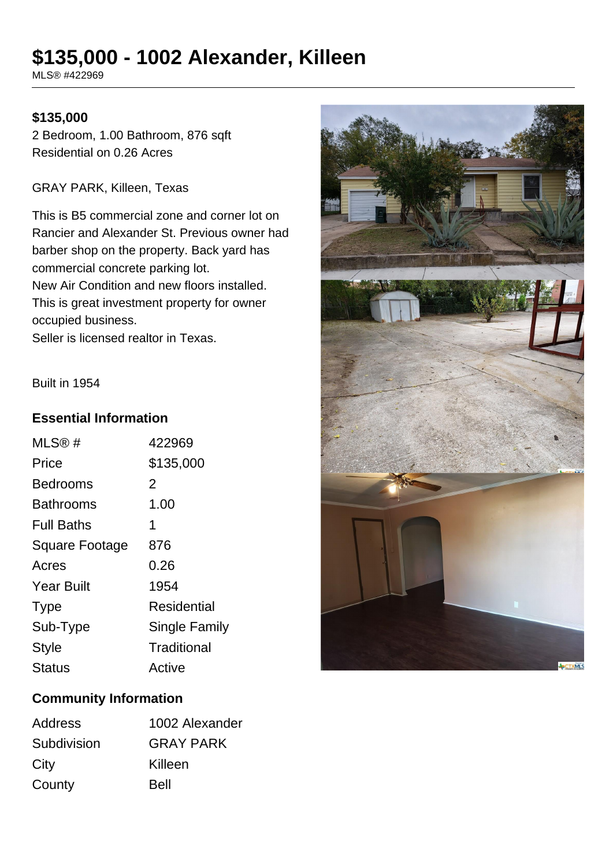# **\$135,000 - 1002 Alexander, Killeen**

MLS® #422969

#### **\$135,000**

2 Bedroom, 1.00 Bathroom, 876 sqft Residential on 0.26 Acres

GRAY PARK, Killeen, Texas

This is B5 commercial zone and corner lot on Rancier and Alexander St. Previous owner had barber shop on the property. Back yard has commercial concrete parking lot. New Air Condition and new floors installed. This is great investment property for owner occupied business.

Seller is licensed realtor in Texas.

Built in 1954

#### **Essential Information**

| MLS@#                 | 422969        |
|-----------------------|---------------|
| Price                 | \$135,000     |
| Bedrooms              | 2             |
| Bathrooms             | 1.00          |
| <b>Full Baths</b>     | 1             |
| <b>Square Footage</b> | 876           |
| Acres                 | 0.26          |
| <b>Year Built</b>     | 1954          |
| <b>Type</b>           | Residential   |
| Sub-Type              | Single Family |
| <b>Style</b>          | Traditional   |
| <b>Status</b>         | Active        |



## **Community Information**

| Address     | 1002 Alexander   |
|-------------|------------------|
| Subdivision | <b>GRAY PARK</b> |
| City        | Killeen          |
| County      | <b>Bell</b>      |